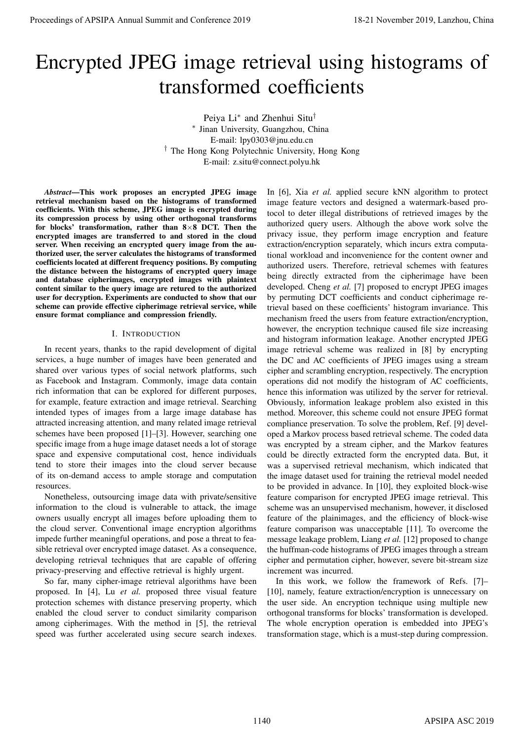# Encrypted JPEG image retrieval using histograms of transformed coefficients

Peiya Li<sup>∗</sup> and Zhenhui Situ<sup>†</sup> ∗ Jinan University, Guangzhou, China E-mail: lpy0303@jnu.edu.cn † The Hong Kong Polytechnic University, Hong Kong E-mail: z.situ@connect.polyu.hk

*Abstract*—This work proposes an encrypted JPEG image retrieval mechanism based on the histograms of transformed coefficients. With this scheme, JPEG image is encrypted during its compression process by using other orthogonal transforms for blocks' transformation, rather than 8×8 DCT. Then the encrypted images are transferred to and stored in the cloud server. When receiving an encrypted query image from the authorized user, the server calculates the histograms of transformed coefficients located at different frequency positions. By computing the distance between the histograms of encrypted query image and database cipherimages, encrypted images with plaintext content similar to the query image are retured to the authorized user for decryption. Experiments are conducted to show that our scheme can provide effective cipherimage retrieval service, while ensure format compliance and compression friendly.

## I. INTRODUCTION

In recent years, thanks to the rapid development of digital services, a huge number of images have been generated and shared over various types of social network platforms, such as Facebook and Instagram. Commonly, image data contain rich information that can be explored for different purposes, for example, feature extraction and image retrieval. Searching intended types of images from a large image database has attracted increasing attention, and many related image retrieval schemes have been proposed [1]–[3]. However, searching one specific image from a huge image dataset needs a lot of storage space and expensive computational cost, hence individuals tend to store their images into the cloud server because of its on-demand access to ample storage and computation resources.

Nonetheless, outsourcing image data with private/sensitive information to the cloud is vulnerable to attack, the image owners usually encrypt all images before uploading them to the cloud server. Conventional image encryption algorithms impede further meaningful operations, and pose a threat to feasible retrieval over encrypted image dataset. As a consequence, developing retrieval techniques that are capable of offering privacy-preserving and effective retrieval is highly urgent.

So far, many cipher-image retrieval algorithms have been proposed. In [4], Lu *et al.* proposed three visual feature protection schemes with distance preserving property, which enabled the cloud server to conduct similarity comparison among cipherimages. With the method in [5], the retrieval speed was further accelerated using secure search indexes.

In [6], Xia *et al.* applied secure kNN algorithm to protect image feature vectors and designed a watermark-based protocol to deter illegal distributions of retrieved images by the authorized query users. Although the above work solve the privacy issue, they perform image encryption and feature extraction/encryption separately, which incurs extra computational workload and inconvenience for the content owner and authorized users. Therefore, retrieval schemes with features being directly extracted from the cipherimage have been developed. Cheng *et al.* [7] proposed to encrypt JPEG images by permuting DCT coefficients and conduct cipherimage retrieval based on these coefficients' histogram invariance. This mechanism freed the users from feature extraction/encryption, however, the encryption technique caused file size increasing and histogram information leakage. Another encrypted JPEG image retrieval scheme was realized in [8] by encrypting the DC and AC coefficients of JPEG images using a stream cipher and scrambling encryption, respectively. The encryption operations did not modify the histogram of AC coefficients, hence this information was utilized by the server for retrieval. Obviously, information leakage problem also existed in this method. Moreover, this scheme could not ensure JPEG format compliance preservation. To solve the problem, Ref. [9] developed a Markov process based retrieval scheme. The coded data was encrypted by a stream cipher, and the Markov features could be directly extracted form the encrypted data. But, it was a supervised retrieval mechanism, which indicated that the image dataset used for training the retrieval model needed to be provided in advance. In [10], they exploited block-wise feature comparison for encrypted JPEG image retrieval. This scheme was an unsupervised mechanism, however, it disclosed feature of the plainimages, and the efficiency of block-wise feature comparison was unacceptable [11]. To overcome the message leakage problem, Liang *et al.* [12] proposed to change the huffman-code histograms of JPEG images through a stream cipher and permutation cipher, however, severe bit-stream size increment was incurred.

In this work, we follow the framework of Refs. [7]– [10], namely, feature extraction/encryption is unnecessary on the user side. An encryption technique using multiple new orthogonal transforms for blocks' transformation is developed. The whole encryption operation is embedded into JPEG's transformation stage, which is a must-step during compression.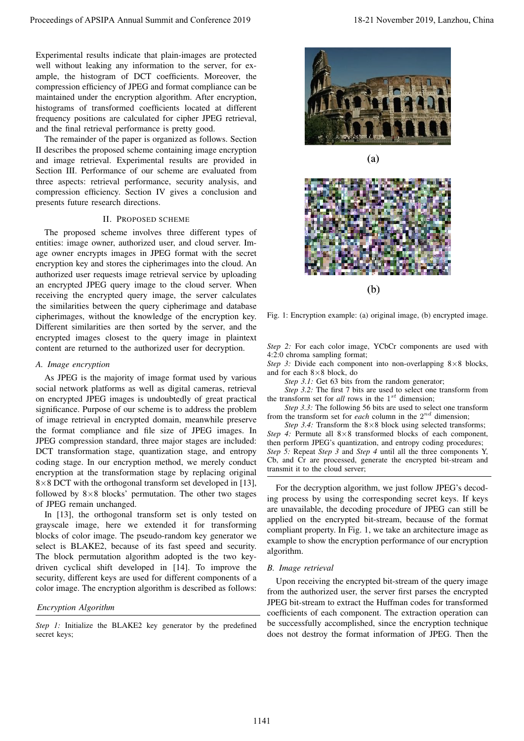Experimental results indicate that plain-images are protected well without leaking any information to the server, for example, the histogram of DCT coefficients. Moreover, the compression efficiency of JPEG and format compliance can be maintained under the encryption algorithm. After encryption, histograms of transformed coefficients located at different frequency positions are calculated for cipher JPEG retrieval, and the final retrieval performance is pretty good.

The remainder of the paper is organized as follows. Section II describes the proposed scheme containing image encryption and image retrieval. Experimental results are provided in Section III. Performance of our scheme are evaluated from three aspects: retrieval performance, security analysis, and compression efficiency. Section IV gives a conclusion and presents future research directions.

#### II. PROPOSED SCHEME

The proposed scheme involves three different types of entities: image owner, authorized user, and cloud server. Image owner encrypts images in JPEG format with the secret encryption key and stores the cipherimages into the cloud. An authorized user requests image retrieval service by uploading an encrypted JPEG query image to the cloud server. When receiving the encrypted query image, the server calculates the similarities between the query cipherimage and database cipherimages, without the knowledge of the encryption key. Different similarities are then sorted by the server, and the encrypted images closest to the query image in plaintext content are returned to the authorized user for decryption.

#### *A. Image encryption*

As JPEG is the majority of image format used by various social network platforms as well as digital cameras, retrieval on encrypted JPEG images is undoubtedly of great practical significance. Purpose of our scheme is to address the problem of image retrieval in encrypted domain, meanwhile preserve the format compliance and file size of JPEG images. In JPEG compression standard, three major stages are included: DCT transformation stage, quantization stage, and entropy coding stage. In our encryption method, we merely conduct encryption at the transformation stage by replacing original  $8\times8$  DCT with the orthogonal transform set developed in [13], followed by  $8\times8$  blocks' permutation. The other two stages of JPEG remain unchanged. Proceedings of APSIPA Annual Summit and European 2019<br>
For the proceding of APSIPA Annual Summit and the term for ex-<br>
conference 2019 18-21 November 2019 18-21 November 2019 18-21 November 2019 18-21 November 2019 18-21

In [13], the orthogonal transform set is only tested on grayscale image, here we extended it for transforming blocks of color image. The pseudo-random key generator we select is BLAKE2, because of its fast speed and security. The block permutation algorithm adopted is the two keydriven cyclical shift developed in [14]. To improve the security, different keys are used for different components of a color image. The encryption algorithm is described as follows:

## *Encryption Algorithm*

*Step 1:* Initialize the BLAKE2 key generator by the predefined secret keys;



Fig. 1: Encryption example: (a) original image, (b) encrypted image.

*Step 2:* For each color image, YCbCr components are used with 4:2:0 chroma sampling format;

*Step 3:* Divide each component into non-overlapping 8×8 blocks, and for each 8×8 block, do

*Step 3.1:* Get 63 bits from the random generator;

*Step 3.2:* The first 7 bits are used to select one transform from the transform set for  $all$  rows in the  $1<sup>st</sup>$  dimension;

*Step 3.3:* The following 56 bits are used to select one transform from the transform set for *each* column in the  $2^{nd}$  dimension;

*Step 3.4:* Transform the 8×8 block using selected transforms; *Step 4:* Permute all 8×8 transformed blocks of each component, then perform JPEG's quantization, and entropy coding procedures; *Step 5:* Repeat *Step 3* and *Step 4* until all the three components Y, Cb, and Cr are processed, generate the encrypted bit-stream and transmit it to the cloud server;

For the decryption algorithm, we just follow JPEG's decoding process by using the corresponding secret keys. If keys are unavailable, the decoding procedure of JPEG can still be applied on the encrypted bit-stream, because of the format compliant property. In Fig. 1, we take an architecture image as example to show the encryption performance of our encryption algorithm.

## *B. Image retrieval*

Upon receiving the encrypted bit-stream of the query image from the authorized user, the server first parses the encrypted JPEG bit-stream to extract the Huffman codes for transformed coefficients of each component. The extraction operation can be successfully accomplished, since the encryption technique does not destroy the format information of JPEG. Then the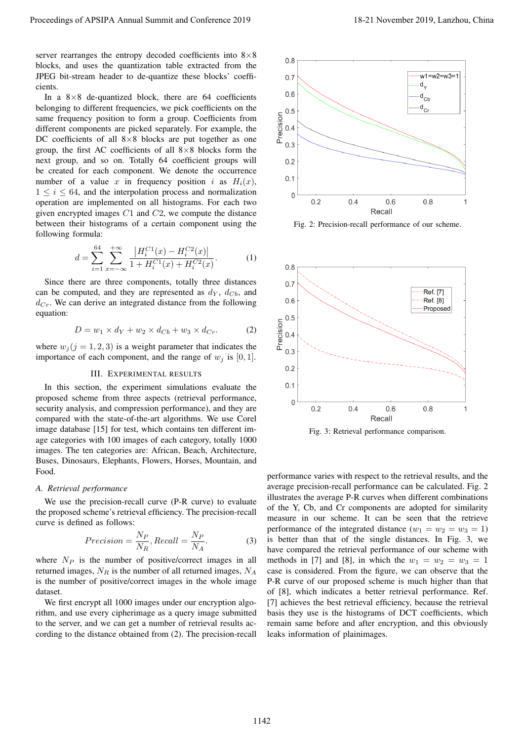server rearranges the entropy decoded coefficients into  $8 \times 8$ blocks, and uses the quantization table extracted from the JPEG bit-stream header to de-quantize these blocks' coefficients.

In a  $8\times 8$  de-quantized block, there are 64 coefficients belonging to different frequencies, we pick coefficients on the same frequency position to form a group. Coefficients from different components are picked separately. For example, the DC coefficients of all  $8\times 8$  blocks are put together as one group, the first AC coefficients of all  $8\times8$  blocks form the next group, and so on. Totally 64 coefficient groups will be created for each component. We denote the occurrence number of a value x in frequency position i as  $H_i(x)$ ,  $1 \leq i \leq 64$ , and the interpolation process and normalization operation are implemented on all histograms. For each two given encrypted images  $C1$  and  $C2$ , we compute the distance between their histograms of a certain component using the following formula:

$$
d = \sum_{i=1}^{64} \sum_{x=-\infty}^{+\infty} \frac{|H_i^{C1}(x) - H_i^{C2}(x)|}{1 + H_i^{C1}(x) + H_i^{C2}(x)}.
$$
 (1)

Since there are three components, totally three distances can be computed, and they are represented as  $d_Y$ ,  $d_{Cb}$ , and  $d_{Cr}$ . We can derive an integrated distance from the following equation:

$$
D = w_1 \times d_Y + w_2 \times d_{Cb} + w_3 \times d_{Cr}.
$$
 (2)

where  $w_i (j = 1, 2, 3)$  is a weight parameter that indicates the importance of each component, and the range of  $w_i$  is [0, 1].

## III. EXPERIMENTAL RESULTS

In this section, the experiment simulations evaluate the proposed scheme from three aspects (retrieval performance, security analysis, and compression performance), and they are compared with the state-of-the-art algorithms. We use Corel image database [15] for test, which contains ten different image categories with 100 images of each category, totally 1000 images. The ten categories are: African, Beach, Architecture, Buses, Dinosaurs, Elephants, Flowers, Horses, Mountain, and Food.

## *A. Retrieval performance*

We use the precision-recall curve (P-R curve) to evaluate the proposed scheme's retrieval efficiency. The precision-recall curve is defined as follows:

$$
Precision = \frac{N_P}{N_R}, Recall = \frac{N_P}{N_A}.
$$
 (3)

where  $N_P$  is the number of positive/correct images in all returned images,  $N_R$  is the number of all returned images,  $N_A$ is the number of positive/correct images in the whole image dataset.

We first encrypt all 1000 images under our encryption algorithm, and use every cipherimage as a query image submitted to the server, and we can get a number of retrieval results according to the distance obtained from (2). The precision-recall



Fig. 2: Precision-recall performance of our scheme.



Fig. 3: Retrieval performance comparison.

performance varies with respect to the retrieval results, and the average precision-recall performance can be calculated. Fig. 2 illustrates the average P-R curves when different combinations of the Y, Cb, and Cr components are adopted for similarity measure in our scheme. It can be seen that the retrieve performance of the integrated distance  $(w_1 = w_2 = w_3 = 1)$ is better than that of the single distances. In Fig. 3, we have compared the retrieval performance of our scheme with methods in [7] and [8], in which the  $w_1 = w_2 = w_3 = 1$ case is considered. From the figure, we can observe that the P-R curve of our proposed scheme is much higher than that of [8], which indicates a better retrieval performance. Ref. [7] achieves the best retrieval efficiency, because the retrieval basis they use is the histograms of DCT coefficients, which remain same before and after encryption, and this obviously leaks information of plainimages. Proceedings of APSIPA Annual Summit and Conference 2019<br>
Shocks, and cost the quantities of the conference 2019 18-21<br>
Shocks, and cost the quantities due to exceed the conference 2019 18-21<br>
Shocks, and cost the quantiti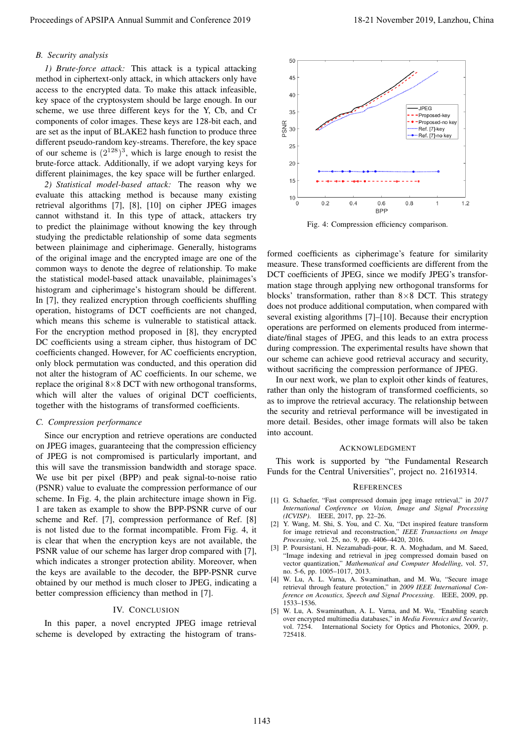## *B. Security analysis*

*1) Brute-force attack:* This attack is a typical attacking method in ciphertext-only attack, in which attackers only have access to the encrypted data. To make this attack infeasible, key space of the cryptosystem should be large enough. In our scheme, we use three different keys for the Y, Cb, and Cr components of color images. These keys are 128-bit each, and are set as the input of BLAKE2 hash function to produce three different pseudo-random key-streams. Therefore, the key space of our scheme is  $(2^{128})^3$ , which is large enough to resist the brute-force attack. Additionally, if we adopt varying keys for different plainimages, the key space will be further enlarged.

*2) Statistical model-based attack:* The reason why we evaluate this attacking method is because many existing retrieval algorithms [7], [8], [10] on cipher JPEG images cannot withstand it. In this type of attack, attackers try to predict the plainimage without knowing the key through studying the predictable relationship of some data segments between plainimage and cipherimage. Generally, histograms of the original image and the encrypted image are one of the common ways to denote the degree of relationship. To make the statistical model-based attack unavailable, plainimages's histogram and cipherimage's histogram should be different. In [7], they realized encryption through coefficients shuffling operation, histograms of DCT coefficients are not changed, which means this scheme is vulnerable to statistical attack. For the encryption method proposed in [8], they encrypted DC coefficients using a stream cipher, thus histogram of DC coefficients changed. However, for AC coefficients encryption, only block permutation was conducted, and this operation did not alter the histogram of AC coefficients. In our scheme, we replace the original  $8\times 8$  DCT with new orthogonal transforms, which will alter the values of original DCT coefficients, together with the histograms of transformed coefficients. Proceedings of APSIPA Annual Summit and Conference 2019<br>  $P = \frac{1}{2}$  November 2019, Lanzhou, China 1143<br>  $P = \frac{1}{2}$  November 2019, Lanzhou, China 1143<br>
Lanzhou, China 1143 and Conference 2019, Lanzhou, China 1143<br>
Lanzho

## *C. Compression performance*

Since our encryption and retrieve operations are conducted on JPEG images, guaranteeing that the compression efficiency of JPEG is not compromised is particularly important, and this will save the transmission bandwidth and storage space. We use bit per pixel (BPP) and peak signal-to-noise ratio (PSNR) value to evaluate the compression performance of our scheme. In Fig. 4, the plain architecture image shown in Fig. 1 are taken as example to show the BPP-PSNR curve of our scheme and Ref. [7], compression performance of Ref. [8] is not listed due to the format incompatible. From Fig. 4, it is clear that when the encryption keys are not available, the PSNR value of our scheme has larger drop compared with [7], which indicates a stronger protection ability. Moreover, when the keys are available to the decoder, the BPP-PSNR curve obtained by our method is much closer to JPEG, indicating a better compression efficiency than method in [7].

## IV. CONCLUSION

In this paper, a novel encrypted JPEG image retrieval scheme is developed by extracting the histogram of trans-



Fig. 4: Compression efficiency comparison.

formed coefficients as cipherimage's feature for similarity measure. These transformed coefficients are different from the DCT coefficients of JPEG, since we modify JPEG's transformation stage through applying new orthogonal transforms for blocks' transformation, rather than  $8\times 8$  DCT. This strategy does not produce additional computation, when compared with several existing algorithms [7]–[10]. Because their encryption operations are performed on elements produced from intermediate/final stages of JPEG, and this leads to an extra process during compression. The experimental results have shown that our scheme can achieve good retrieval accuracy and security, without sacrificing the compression performance of JPEG.

In our next work, we plan to exploit other kinds of features, rather than only the histogram of transformed coefficients, so as to improve the retrieval accuracy. The relationship between the security and retrieval performance will be investigated in more detail. Besides, other image formats will also be taken into account.

## ACKNOWLEDGMENT

This work is supported by "the Fundamental Research Funds for the Central Universities", project no. 21619314.

#### **REFERENCES**

- [1] G. Schaefer, "Fast compressed domain jpeg image retrieval," in *2017 International Conference on Vision, Image and Signal Processing (ICVISP)*. IEEE, 2017, pp. 22–26.
- [2] Y. Wang, M. Shi, S. You, and C. Xu, "Dct inspired feature transform for image retrieval and reconstruction," *IEEE Transactions on Image Processing*, vol. 25, no. 9, pp. 4406–4420, 2016.
- [3] P. Poursistani, H. Nezamabadi-pour, R. A. Moghadam, and M. Saeed, "Image indexing and retrieval in jpeg compressed domain based on vector quantization," *Mathematical and Computer Modelling*, vol. 57, no. 5-6, pp. 1005–1017, 2013.
- [4] W. Lu, A. L. Varna, A. Swaminathan, and M. Wu, "Secure image retrieval through feature protection," in *2009 IEEE International Conference on Acoustics, Speech and Signal Processing*. IEEE, 2009, pp. 1533–1536.
- [5] W. Lu, A. Swaminathan, A. L. Varna, and M. Wu, "Enabling search over encrypted multimedia databases," in *Media Forensics and Security*, vol. 7254. International Society for Optics and Photonics, 2009, p. International Society for Optics and Photonics, 2009, p. 725418.